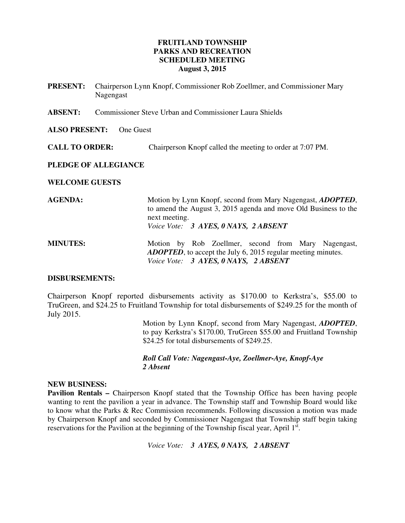# **FRUITLAND TOWNSHIP PARKS AND RECREATION SCHEDULED MEETING August 3, 2015**

- **PRESENT:** Chairperson Lynn Knopf, Commissioner Rob Zoellmer, and Commissioner Mary Nagengast
- **ABSENT:** Commissioner Steve Urban and Commissioner Laura Shields

#### **ALSO PRESENT:** One Guest

**CALL TO ORDER:** Chairperson Knopf called the meeting to order at 7:07 PM.

### **PLEDGE OF ALLEGIANCE**

### **WELCOME GUESTS**

| <b>AGENDA:</b>  | Motion by Lynn Knopf, second from Mary Nagengast, ADOPTED,<br>to amend the August 3, 2015 agenda and move Old Business to the<br>next meeting.<br>Voice Vote: 3 AYES, 0 NAYS, 2 ABSENT |
|-----------------|----------------------------------------------------------------------------------------------------------------------------------------------------------------------------------------|
| <b>MINUTES:</b> | Motion by Rob Zoellmer, second from Mary Nagengast,<br><b>ADOPTED</b> , to accept the July 6, 2015 regular meeting minutes.<br>Voice Vote: 3 AYES, 0 NAYS, 2 ABSENT                    |

### **DISBURSEMENTS:**

Chairperson Knopf reported disbursements activity as \$170.00 to Kerkstra's, \$55.00 to TruGreen, and \$24.25 to Fruitland Township for total disbursements of \$249.25 for the month of July 2015.

> Motion by Lynn Knopf, second from Mary Nagengast, *ADOPTED*, to pay Kerkstra's \$170.00, TruGreen \$55.00 and Fruitland Township \$24.25 for total disbursements of \$249.25.

 *Roll Call Vote: Nagengast-Aye, Zoellmer-Aye, Knopf-Aye 2 Absent* 

#### **NEW BUSINESS:**

**Pavilion Rentals –** Chairperson Knopf stated that the Township Office has been having people wanting to rent the pavilion a year in advance. The Township staff and Township Board would like to know what the Parks & Rec Commission recommends. Following discussion a motion was made by Chairperson Knopf and seconded by Commissioner Nagengast that Township staff begin taking reservations for the Pavilion at the beginning of the Township fiscal year, April 1st.

*Voice Vote: 3 AYES, 0 NAYS, 2 ABSENT*